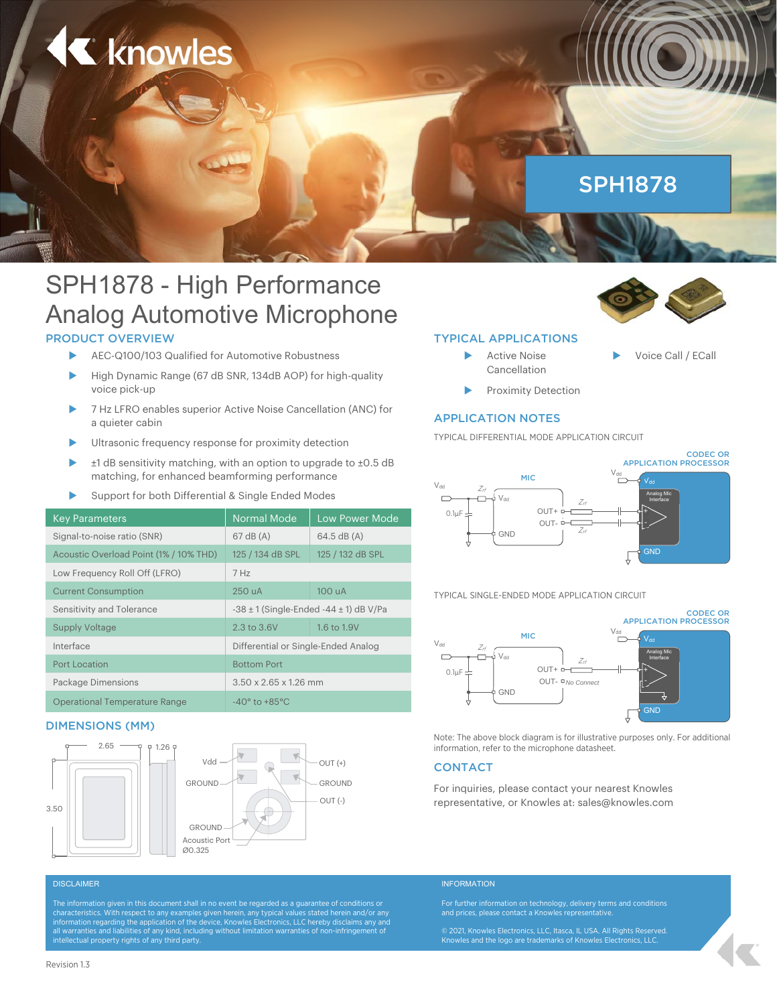

# SPH1878 - High Performance Analog Automotive Microphone

# PRODUCT OVERVIEW

- AEC-Q100/103 Qualified for Automotive Robustness
- High Dynamic Range (67 dB SNR, 134dB AOP) for high-quality voice pick-up
- 7 Hz LFRO enables superior Active Noise Cancellation (ANC) for a quieter cabin
- Ultrasonic frequency response for proximity detection
- ±1 dB sensitivity matching, with an option to upgrade to ±0.5 dB matching, for enhanced beamforming performance
- Support for both Differential & Single Ended Modes

| <b>Key Parameters</b>                  | <b>Normal Mode</b>                              | <b>Low Power Mode</b> |
|----------------------------------------|-------------------------------------------------|-----------------------|
| Signal-to-noise ratio (SNR)            | $67$ dB $(A)$                                   | $64.5$ dB $(A)$       |
| Acoustic Overload Point (1% / 10% THD) | 125 / 134 dB SPL                                | 125 / 132 dB SPL      |
| Low Frequency Roll Off (LFRO)          | 7 Hz                                            |                       |
| <b>Current Consumption</b>             | 250 uA                                          | 100 uA                |
| Sensitivity and Tolerance              | $-38 \pm 1$ (Single-Ended $-44 \pm 1$ ) dB V/Pa |                       |
| <b>Supply Voltage</b>                  | 2.3 to 3.6V                                     | 1.6 to 1.9V           |
| Interface                              | Differential or Single-Ended Analog             |                       |
| <b>Port Location</b>                   | <b>Bottom Port</b>                              |                       |
| Package Dimensions                     | $3.50 \times 2.65 \times 1.26$ mm               |                       |
| <b>Operational Temperature Range</b>   | $-40^\circ$ to $+85^\circ$ C                    |                       |

### DIMENSIONS (MM)





### TYPICAL APPLICATIONS

- Active Noise Cancellation
- Proximity Detection

### APPLICATION NOTES

TYPICAL DIFFERENTIAL MODE APPLICATION CIRCUIT



Voice Call / ECall

TYPICAL SINGLE-ENDED MODE APPLICATION CIRCUIT



Note: The above block diagram is for illustrative purposes only. For additional information, refer to the microphone datasheet.

### **CONTACT**

For inquiries, please contact your nearest Knowles OUT (-) representative, or Knowles at: sales@knowles.com

characteristics. With respect to any examples given herein, any typical values stated herein and/or any<br>information regarding the application of the device, Knowles Electronics, LLC hereby disclaims any and<br>all warranties

### DISCLAIMER **Information** and the contract of the contract of the contract of the contract of the contract of the contract of the contract of the contract of the contract of the contract of the contract of the contract of t

For further information on technology, delivery terms and conditions and prices, please contact a Knowles representative.

© 2021, Knowles Electronics, LLC, Itasca, IL USA. All Rights Reserved.<br>Knowles and the logo are trademarks of Knowles Electronics, LLC.